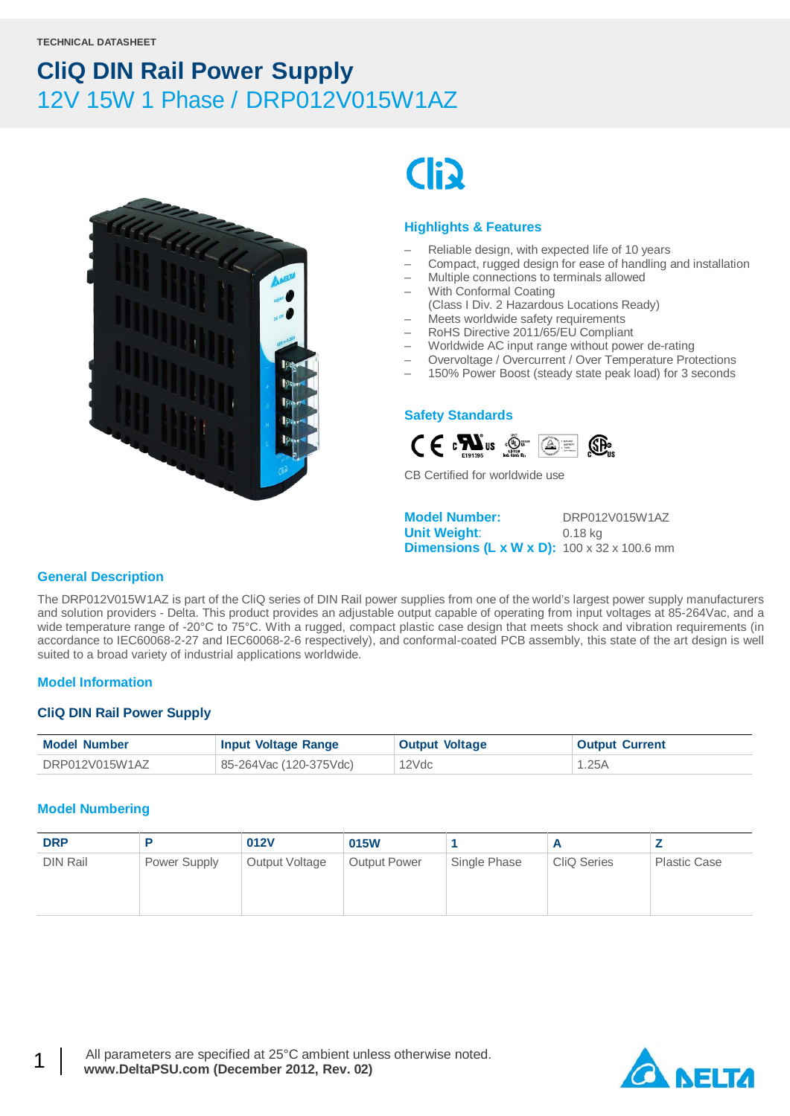

# **Cli**

#### **Highlights & Features**

- Reliable design, with expected life of 10 years
- Compact, rugged design for ease of handling and installation
- Multiple connections to terminals allowed
- With Conformal Coating
- (Class I Div. 2 Hazardous Locations Ready)
- Meets worldwide safety requirements
- RoHS Directive 2011/65/EU Compliant
- Worldwide AC input range without power de-rating
- Overvoltage / Overcurrent / Over Temperature Protections
- 150% Power Boost (steady state peak load) for 3 seconds

#### **Safety Standards**



CB Certified for worldwide use

**Model Number:** DRP012V015W1AZ **Unit Weight**: 0.18 kg **Dimensions (L x W x D):** 100 x 32 x 100.6 mm

#### **General Description**

The DRP012V015W1AZ is part of the CliQ series of DIN Rail power supplies from one of the world's largest power supply manufacturers and solution providers - Delta. This product provides an adjustable output capable of operating from input voltages at 85-264Vac, and a wide temperature range of -20°C to 75°C. With a rugged, compact plastic case design that meets shock and vibration requirements (in accordance to IEC60068-2-27 and IEC60068-2-6 respectively), and conformal-coated PCB assembly, this state of the art design is well suited to a broad variety of industrial applications worldwide.

#### **Model Information**

#### **CliQ DIN Rail Power Supply**

| <b>Model Number</b> | <b>Input Voltage Range</b> | <b>Output Voltage</b> | <b>Output Current</b> |
|---------------------|----------------------------|-----------------------|-----------------------|
| DRP012V015W1AZ      | 85-264Vac (120-375Vdc)     | 12Vdc                 | 25A                   |

#### **Model Numbering**

| <b>DRP</b>      |              | 012V           | 015W                |              | n           |                     |
|-----------------|--------------|----------------|---------------------|--------------|-------------|---------------------|
| <b>DIN Rail</b> | Power Supply | Output Voltage | <b>Output Power</b> | Single Phase | CliQ Series | <b>Plastic Case</b> |

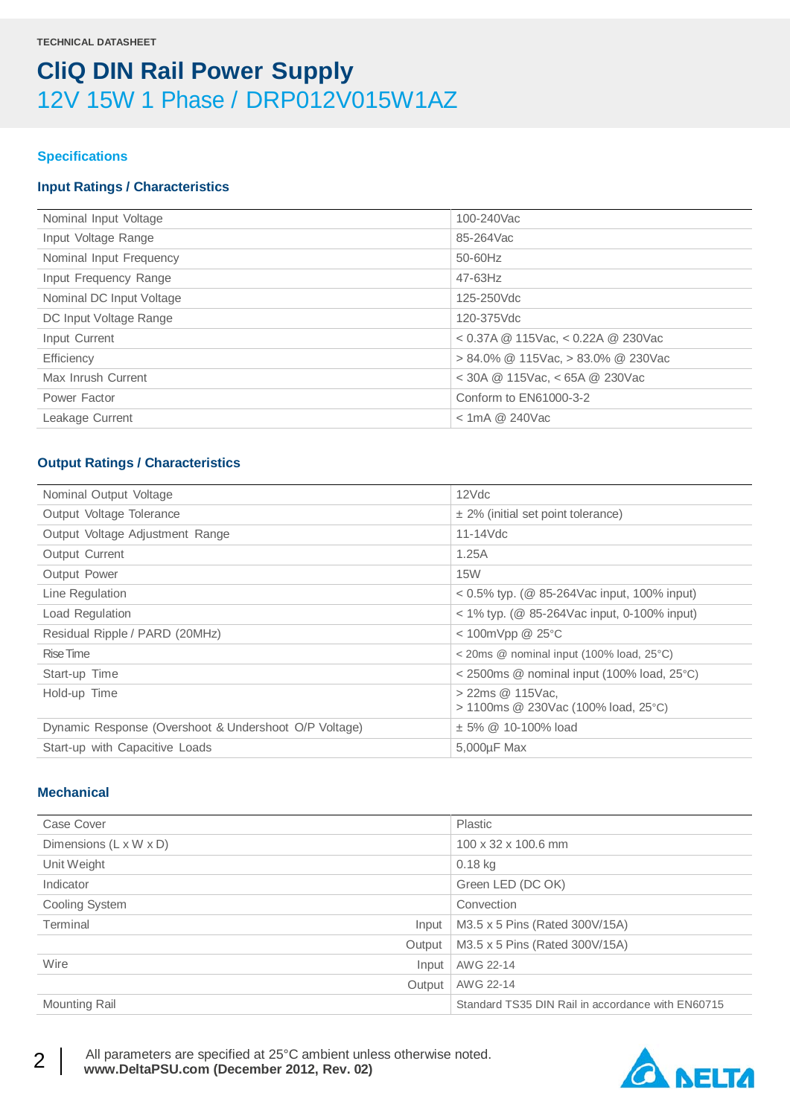#### **Specifications**

#### **Input Ratings / Characteristics**

| Nominal Input Voltage    | 100-240Vac                             |
|--------------------------|----------------------------------------|
| Input Voltage Range      | 85-264Vac                              |
| Nominal Input Frequency  | $50-60$ Hz                             |
| Input Frequency Range    | $47 - 63$ Hz                           |
| Nominal DC Input Voltage | 125-250Vdc                             |
| DC Input Voltage Range   | 120-375Vdc                             |
| Input Current            | $<$ 0.37A @ 115Vac, $<$ 0.22A @ 230Vac |
| Efficiency               | > 84.0% @ 115Vac, > 83.0% @ 230Vac     |
| Max Inrush Current       | $<$ 30A @ 115Vac, $<$ 65A @ 230Vac     |
| Power Factor             | Conform to EN61000-3-2                 |
| Leakage Current          | $<$ 1mA @ 240Vac                       |
|                          |                                        |

#### **Output Ratings / Characteristics**

| Nominal Output Voltage                                | 12Vdc                                                       |
|-------------------------------------------------------|-------------------------------------------------------------|
| Output Voltage Tolerance                              | $\pm$ 2% (initial set point tolerance)                      |
| Output Voltage Adjustment Range                       | $11-14$ Vdc                                                 |
| Output Current                                        | 1.25A                                                       |
| Output Power                                          | <b>15W</b>                                                  |
| Line Regulation                                       | $0.5\%$ typ. ( $\circledR$ 85-264Vac input, 100% input)     |
| Load Regulation                                       | < 1% typ. (@ 85-264Vac input, 0-100% input)                 |
| Residual Ripple / PARD (20MHz)                        | < 100mVpp @ 25°C                                            |
| Rise Time                                             | $\leq$ 20ms @ nominal input (100% load, 25 $\degree$ C)     |
| Start-up Time                                         | < 2500ms @ nominal input (100% load, 25°C)                  |
| Hold-up Time                                          | $>$ 22ms $@$ 115Vac.<br>> 1100ms @ 230Vac (100% load, 25°C) |
| Dynamic Response (Overshoot & Undershoot O/P Voltage) | $\pm$ 5% @ 10-100% load                                     |
| Start-up with Capacitive Loads                        | 5,000µF Max                                                 |
|                                                       |                                                             |

#### **Mechanical**

| Case Cover                         | Plastic                                           |
|------------------------------------|---------------------------------------------------|
| Dimensions $(L \times W \times D)$ | 100 x 32 x 100.6 mm                               |
| Unit Weight                        | $0.18$ kg                                         |
| Indicator                          | Green LED (DC OK)                                 |
| Cooling System                     | Convection                                        |
| Terminal<br>Input                  | M3.5 x 5 Pins (Rated 300V/15A)                    |
| Output                             | M3.5 x 5 Pins (Rated 300V/15A)                    |
| Wire<br>Input                      | AWG 22-14                                         |
| Output                             | AWG 22-14                                         |
| <b>Mounting Rail</b>               | Standard TS35 DIN Rail in accordance with EN60715 |



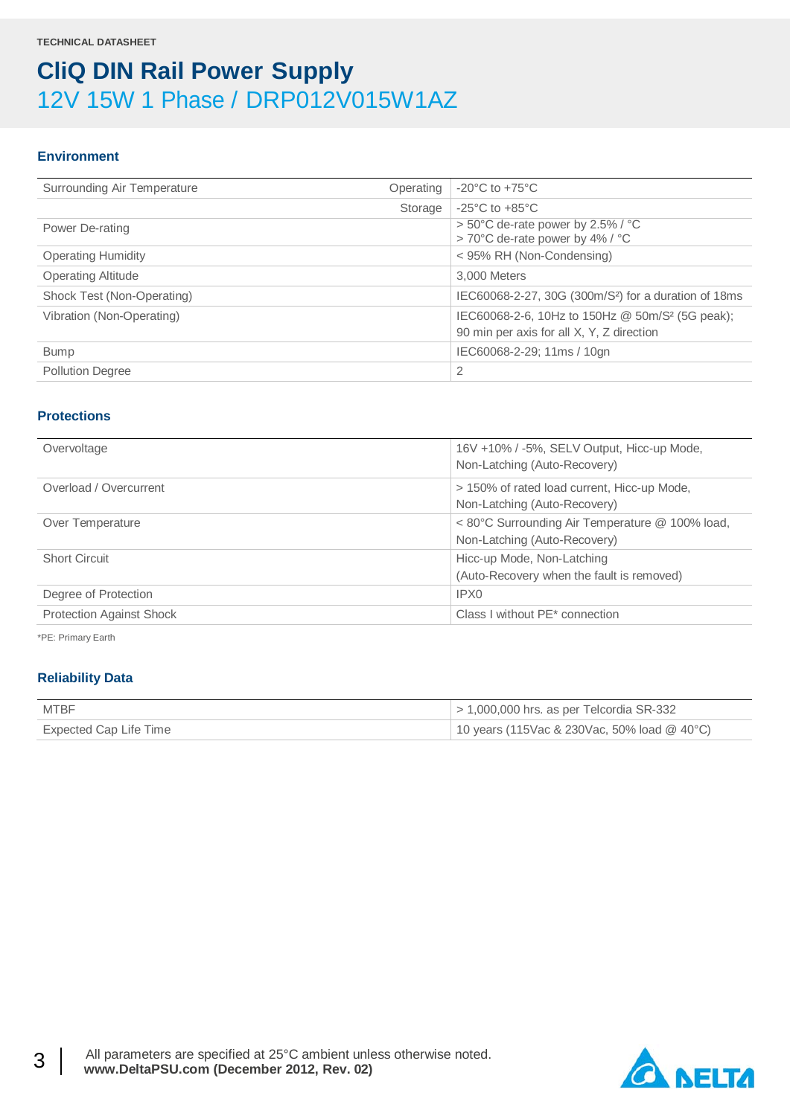#### **Environment**

| Surrounding Air Temperature | Operating | $-20^{\circ}$ C to $+75^{\circ}$ C                                                       |
|-----------------------------|-----------|------------------------------------------------------------------------------------------|
|                             | Storage   | $-25^{\circ}$ C to $+85^{\circ}$ C                                                       |
| Power De-rating             |           | $> 50^{\circ}$ C de-rate power by 2.5% / $^{\circ}$ C<br>> 70°C de-rate power by 4% / °C |
| <b>Operating Humidity</b>   |           | < 95% RH (Non-Condensing)                                                                |
| <b>Operating Altitude</b>   |           | 3,000 Meters                                                                             |
| Shock Test (Non-Operating)  |           | IEC60068-2-27, 30G (300m/S <sup>2</sup> ) for a duration of 18ms                         |
| Vibration (Non-Operating)   |           | IEC60068-2-6, 10Hz to 150Hz @ 50m/S <sup>2</sup> (5G peak);                              |
|                             |           | 90 min per axis for all X, Y, Z direction                                                |
| <b>Bump</b>                 |           | IEC60068-2-29; 11ms / 10gn                                                               |
| <b>Pollution Degree</b>     |           | 2                                                                                        |

#### **Protections**

| Overvoltage                     | 16V +10% / -5%, SELV Output, Hicc-up Mode,<br>Non-Latching (Auto-Recovery)      |
|---------------------------------|---------------------------------------------------------------------------------|
| Overload / Overcurrent          | > 150% of rated load current, Hicc-up Mode,<br>Non-Latching (Auto-Recovery)     |
| Over Temperature                | < 80°C Surrounding Air Temperature @ 100% load,<br>Non-Latching (Auto-Recovery) |
| <b>Short Circuit</b>            | Hicc-up Mode, Non-Latching<br>(Auto-Recovery when the fault is removed)         |
| Degree of Protection            | IPX <sub>0</sub>                                                                |
| <b>Protection Against Shock</b> | Class I without PE* connection                                                  |

\*PE: Primary Earth

#### **Reliability Data**

| MTBF                   | $\vert$ > 1,000,000 hrs. as per Telcordia SR-332 |
|------------------------|--------------------------------------------------|
| Expected Cap Life Time | 10 years (115Vac & 230Vac, 50% load @ 40°C)      |

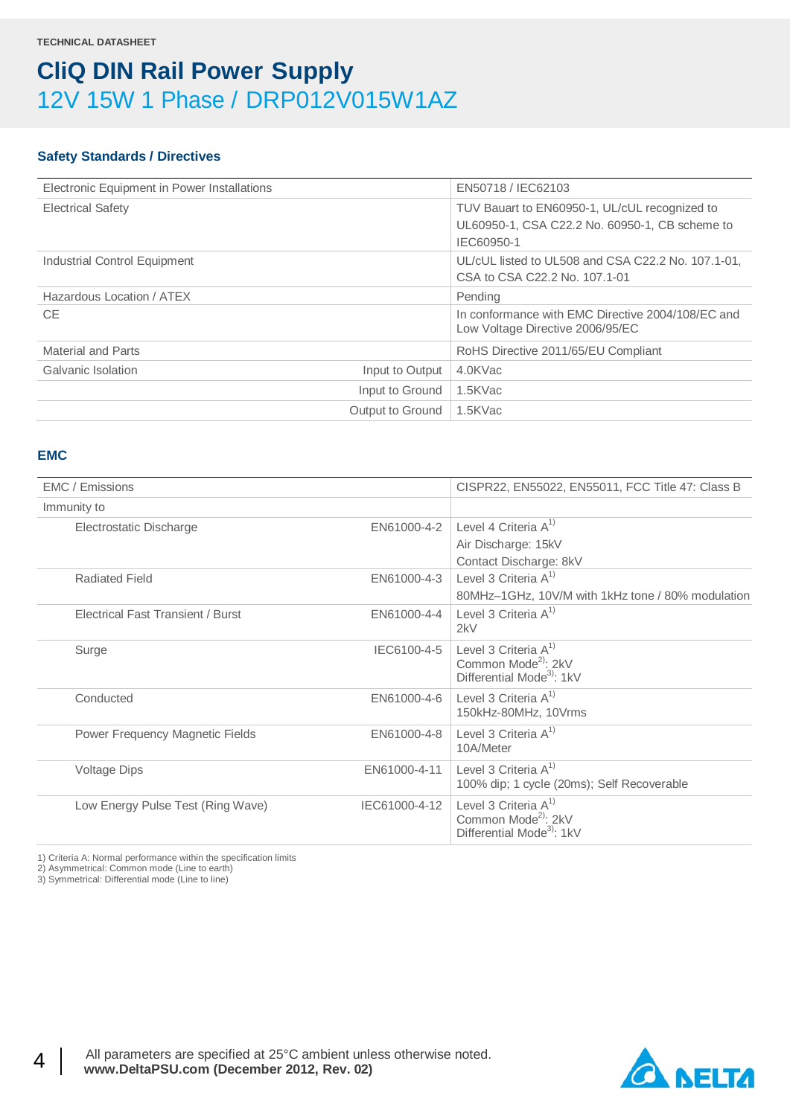#### **Safety Standards / Directives**

| Electronic Equipment in Power Installations | EN50718 / IEC62103                                                                                            |
|---------------------------------------------|---------------------------------------------------------------------------------------------------------------|
| <b>Electrical Safety</b>                    | TUV Bauart to EN60950-1, UL/cUL recognized to<br>UL60950-1, CSA C22.2 No. 60950-1, CB scheme to<br>IEC60950-1 |
| Industrial Control Equipment                | UL/cUL listed to UL508 and CSA C22.2 No. 107.1-01,<br>CSA to CSA C22.2 No. 107.1-01                           |
| Hazardous Location / ATEX                   | Pending                                                                                                       |
| CE                                          | In conformance with EMC Directive 2004/108/EC and<br>Low Voltage Directive 2006/95/EC                         |
| <b>Material and Parts</b>                   | RoHS Directive 2011/65/EU Compliant                                                                           |
| Galvanic Isolation<br>Input to Output       | 4.0KVac                                                                                                       |
| Input to Ground                             | 1.5KVac                                                                                                       |
| Output to Ground                            | 1.5KVac                                                                                                       |

#### **EMC**

| EMC / Emissions                          |               | CISPR22, EN55022, EN55011, FCC Title 47: Class B                                                    |
|------------------------------------------|---------------|-----------------------------------------------------------------------------------------------------|
| Immunity to                              |               |                                                                                                     |
| Electrostatic Discharge                  | EN61000-4-2   | Level 4 Criteria $A^{1}$                                                                            |
|                                          |               | Air Discharge: 15kV                                                                                 |
|                                          |               | Contact Discharge: 8kV                                                                              |
| <b>Radiated Field</b>                    | EN61000-4-3   | Level 3 Criteria $A^{1}$                                                                            |
|                                          |               | 80MHz-1GHz, 10V/M with 1kHz tone / 80% modulation                                                   |
| <b>Electrical Fast Transient / Burst</b> | EN61000-4-4   | Level 3 Criteria $A^{1}$<br>2kV                                                                     |
| Surge                                    | IEC6100-4-5   | Level 3 Criteria $A^{1}$<br>Common Mode <sup>2)</sup> : 2kV<br>Differential Mode <sup>3</sup> : 1kV |
| Conducted                                | EN61000-4-6   | Level 3 Criteria $A^{1}$<br>150kHz-80MHz, 10Vrms                                                    |
| Power Frequency Magnetic Fields          | EN61000-4-8   | Level 3 Criteria $A^{1}$<br>10A/Meter                                                               |
| <b>Voltage Dips</b>                      | EN61000-4-11  | Level 3 Criteria A <sup>1)</sup><br>100% dip; 1 cycle (20ms); Self Recoverable                      |
| Low Energy Pulse Test (Ring Wave)        | IEC61000-4-12 | Level 3 Criteria $A^{1}$<br>Common Mode <sup>2)</sup> : 2kV<br>Differential Mode <sup>3</sup> : 1kV |

1) Criteria A: Normal performance within the specification limits 2) Asymmetrical: Common mode (Line to earth)

3) Symmetrical: Differential mode (Line to line)

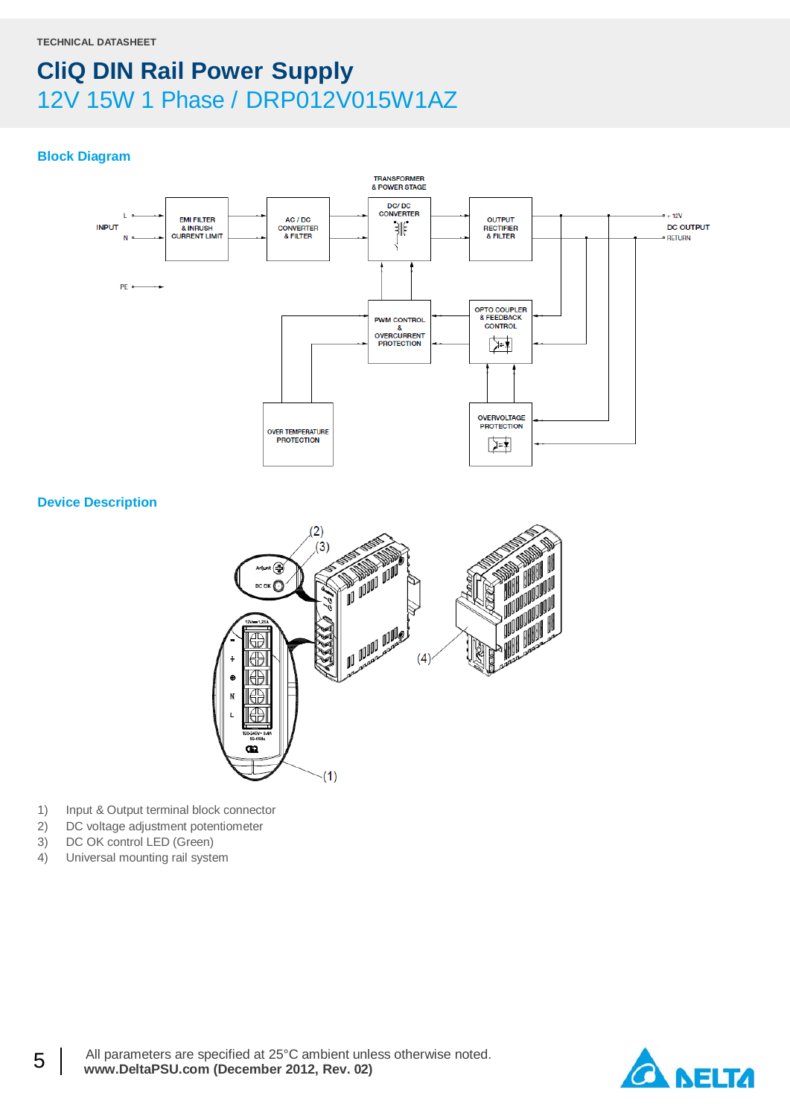#### **Block Diagram**



#### **Device Description**



- 1) Input & Output terminal block connector
- 2) DC voltage adjustment potentiometer
- 3) DC OK control LED (Green)
- 4) Universal mounting rail system

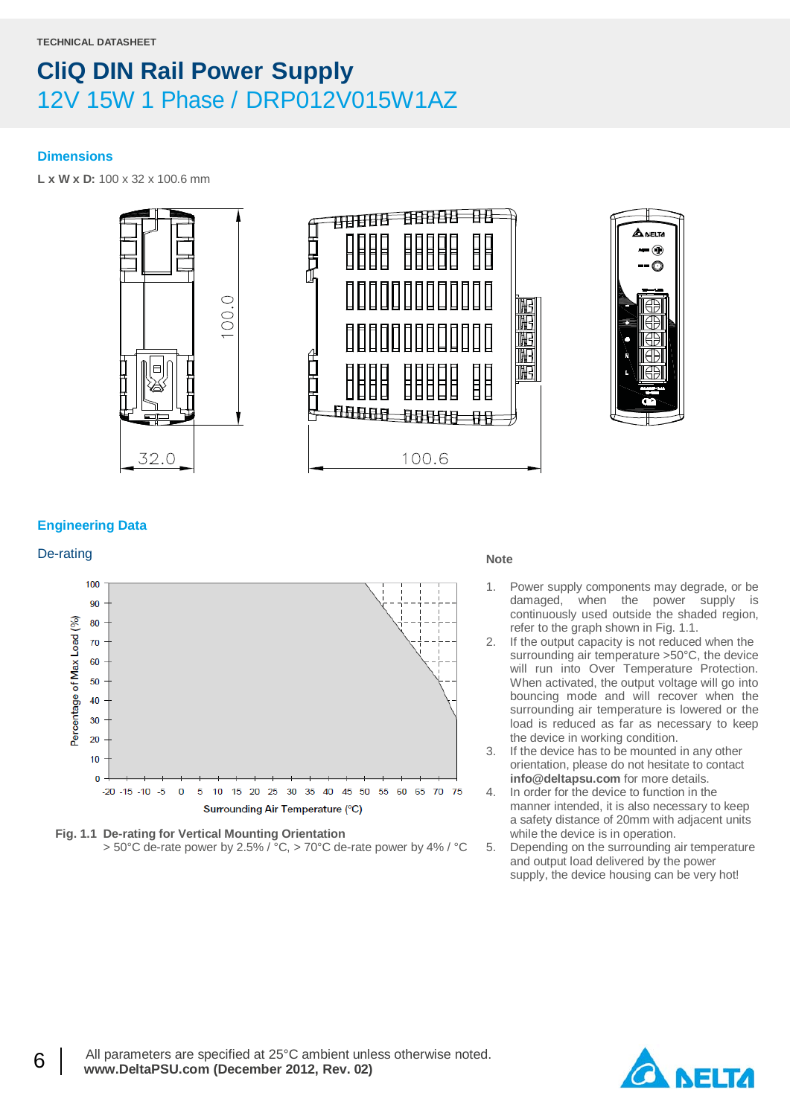#### **Dimensions**

**L x W x D:** 100 x 32 x 100.6 mm





#### **Engineering Data**

### De-rating **Note**





- 1. Power supply components may degrade, or be damaged, when the power supply is continuously used outside the shaded region, refer to the graph shown in Fig. 1.1.
- 2. If the output capacity is not reduced when the surrounding air temperature >50°C, the device will run into Over Temperature Protection. When activated, the output voltage will go into bouncing mode and will recover when the surrounding air temperature is lowered or the load is reduced as far as necessary to keep the device in working condition.
- 3. If the device has to be mounted in any other orientation, please do not hesitate to contact **info@deltapsu.com** for more details.
- 4. In order for the device to function in the manner intended, it is also necessary to keep a safety distance of 20mm with adjacent units while the device is in operation.
- 5. Depending on the surrounding air temperature and output load delivered by the power supply, the device housing can be very hot!

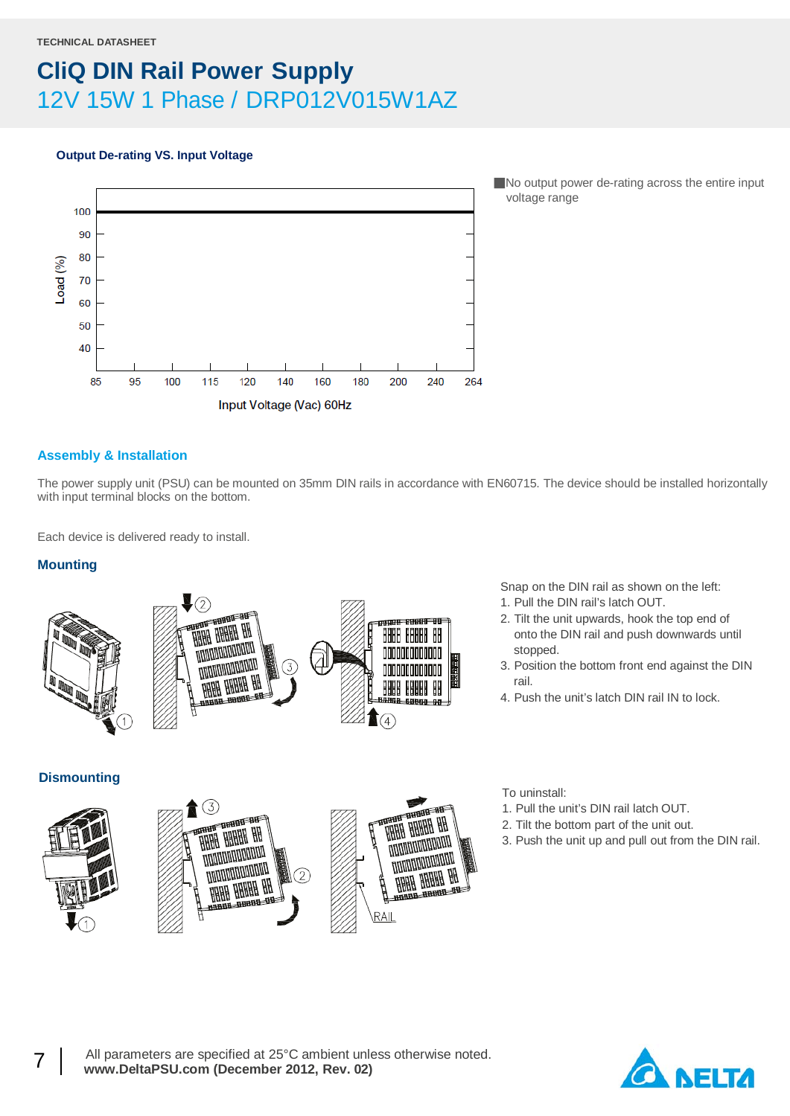#### **Output De-rating VS. Input Voltage**



■ No output power de-rating across the entire input voltage range

#### **Assembly & Installation**

The power supply unit (PSU) can be mounted on 35mm DIN rails in accordance with EN60715. The device should be installed horizontally with input terminal blocks on the bottom.

Each device is delivered ready to install.

#### **Mounting**







Snap on the DIN rail as shown on the left:

- 1. Pull the DIN rail's latch OUT.
- 2. Tilt the unit upwards, hook the top end of onto the DIN rail and push downwards until stopped.
- 3. Position the bottom front end against the DIN rail.
- 4. Push the unit's latch DIN rail IN to lock.

**Dismounting**







To uninstall:

- 1. Pull the unit's DIN rail latch OUT.
- 2. Tilt the bottom part of the unit out.
- 3. Push the unit up and pull out from the DIN rail.

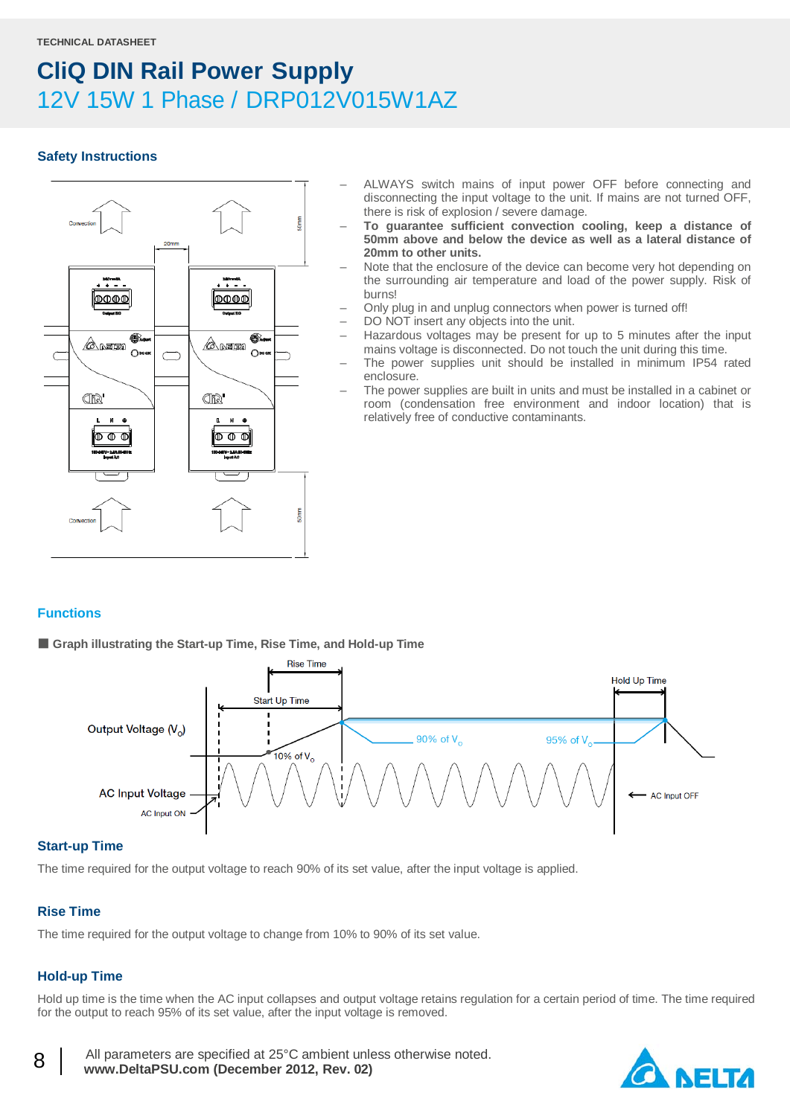#### **Safety Instructions**



- ALWAYS switch mains of input power OFF before connecting and disconnecting the input voltage to the unit. If mains are not turned OFF, there is risk of explosion / severe damage.
- **To guarantee sufficient convection cooling, keep a distance of 50mm above and below the device as well as a lateral distance of 20mm to other units.**
- Note that the enclosure of the device can become very hot depending on the surrounding air temperature and load of the power supply. Risk of burns!
- Only plug in and unplug connectors when power is turned off!
- DO NOT insert any objects into the unit.
- Hazardous voltages may be present for up to 5 minutes after the input mains voltage is disconnected. Do not touch the unit during this time.
- The power supplies unit should be installed in minimum IP54 rated enclosure.
- The power supplies are built in units and must be installed in a cabinet or room (condensation free environment and indoor location) that is relatively free of conductive contaminants.

#### **Functions**

■ Graph illustrating the Start-up Time, Rise Time, and Hold-up Time



#### **Start-up Time**

The time required for the output voltage to reach 90% of its set value, after the input voltage is applied.

#### **Rise Time**

The time required for the output voltage to change from 10% to 90% of its set value.

#### **Hold-up Time**

Hold up time is the time when the AC input collapses and output voltage retains regulation for a certain period of time. The time required for the output to reach 95% of its set value, after the input voltage is removed.

8 | All parameters are specified at 25°C ambient unless otherwise noted.<br>**8** | www.DeltaPSU.com (December 2012, Rev. 02)

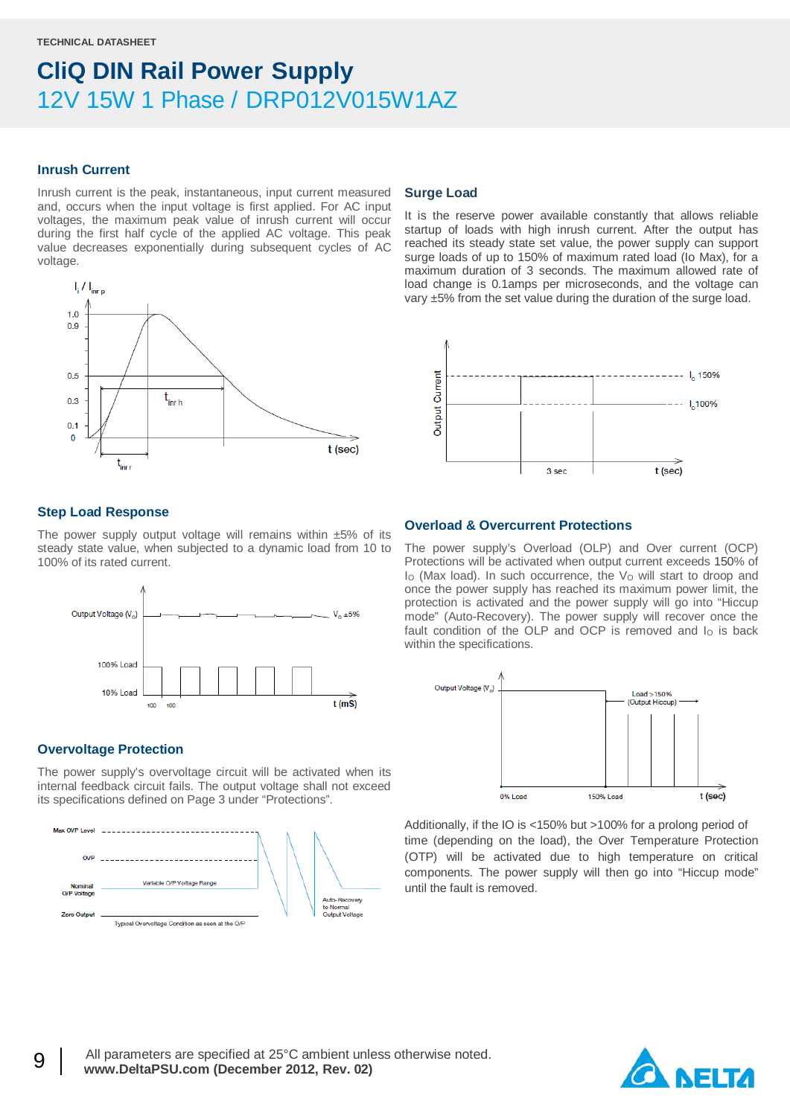#### **Inrush Current**

Inrush current is the peak, instantaneous, input current measured and, occurs when the input voltage is first applied. For AC input voltages, the maximum peak value of inrush current will occur during the first half cycle of the applied AC voltage. This peak value decreases exponentially during subsequent cycles of AC voltage.



#### **Step Load Response**

The power supply output voltage will remains within  $\pm 5\%$  of its steady state value, when subjected to a dynamic load from 10 to 100% of its rated current.



#### **Overvoltage Protection**

The power supply's overvoltage circuit will be activated when its internal feedback circuit fails. The output voltage shall not exceed its specifications defined on Page 3 under "Protections".



#### **Surge Load**

It is the reserve power available constantly that allows reliable startup of loads with high inrush current. After the output has reached its steady state set value, the power supply can support surge loads of up to 150% of maximum rated load (Io Max), for a maximum duration of 3 seconds. The maximum allowed rate of load change is 0.1amps per microseconds, and the voltage can vary ±5% from the set value during the duration of the surge load.



#### **Overload & Overcurrent Protections**

The power supply's Overload (OLP) and Over current (OCP) Protections will be activated when output current exceeds 150% of  $I<sub>O</sub>$  (Max load). In such occurrence, the  $V<sub>O</sub>$  will start to droop and once the power supply has reached its maximum power limit, the protection is activated and the power supply will go into "Hiccup mode" (Auto-Recovery). The power supply will recover once the fault condition of the OLP and OCP is removed and  $I<sub>O</sub>$  is back within the specifications.



Additionally, if the IO is <150% but >100% for a prolong period of time (depending on the load), the Over Temperature Protection (OTP) will be activated due to high temperature on critical components. The power supply will then go into "Hiccup mode" until the fault is removed.

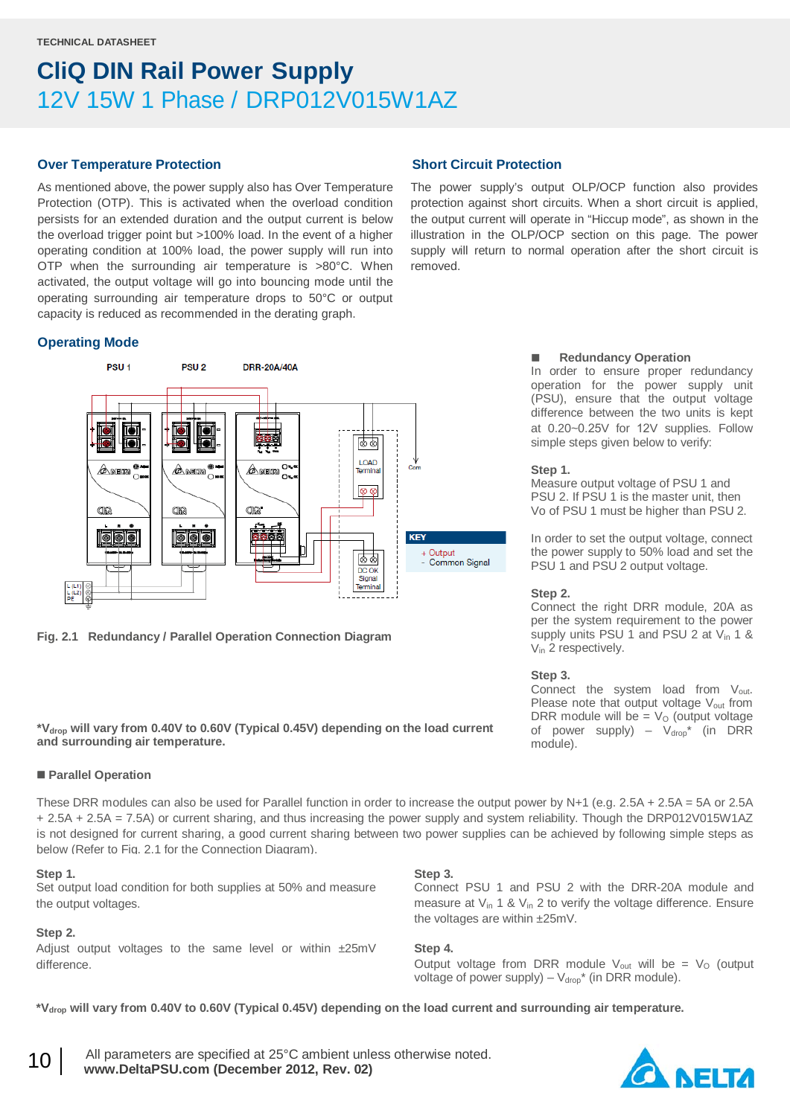#### **Over Temperature Protection**

As mentioned above, the power supply also has Over Temperature Protection (OTP). This is activated when the overload condition persists for an extended duration and the output current is below the overload trigger point but >100% load. In the event of a higher operating condition at 100% load, the power supply will run into OTP when the surrounding air temperature is >80°C. When activated, the output voltage will go into bouncing mode until the operating surrounding air temperature drops to 50°C or output capacity is reduced as recommended in the derating graph.

#### **Operating Mode**



**Fig. 2.1 Redundancy / Parallel Operation Connection Diagram**

#### **\*Vdrop will vary from 0.40V to 0.60V (Typical 0.45V) depending on the load current and surrounding air temperature.**

#### **Parallel Operation**

These DRR modules can also be used for Parallel function in order to increase the output power by N+1 (e.g. 2.5A + 2.5A = 5A or 2.5A + 2.5A + 2.5A = 7.5A) or current sharing, and thus increasing the power supply and system reliability. Though the DRP012V015W1AZ is not designed for current sharing, a good current sharing between two power supplies can be achieved by following simple steps as below (Refer to Fig. 2.1 for the Connection Diagram).

#### **Step 1.**

Set output load condition for both supplies at 50% and measure the output voltages.

#### **Step 2.**

Adjust output voltages to the same level or within ±25mV difference.

#### **Short Circuit Protection**

The power supply's output OLP/OCP function also provides protection against short circuits. When a short circuit is applied, the output current will operate in "Hiccup mode", as shown in the illustration in the OLP/OCP section on this page. The power supply will return to normal operation after the short circuit is removed.

#### **Redundancy Operation**

In order to ensure proper redundancy operation for the power supply unit (PSU), ensure that the output voltage difference between the two units is kept at 0.20~0.25V for 12V supplies. Follow simple steps given below to verify:

#### **Step 1.**

Measure output voltage of PSU 1 and PSU 2. If PSU 1 is the master unit, then Vo of PSU 1 must be higher than PSU 2.

In order to set the output voltage, connect the power supply to 50% load and set the PSU 1 and PSU 2 output voltage.

#### **Step 2.**

Connect the right DRR module, 20A as per the system requirement to the power supply units PSU 1 and PSU 2 at V<sub>in</sub> 1 & V<sub>in</sub> 2 respectively.

#### **Step 3.**

Connect the system load from V<sub>out</sub>. Please note that output voltage  $V_{out}$  from DRR module will be =  $V<sub>O</sub>$  (output voltage of power supply) –  $V_{drop}^*$  (in DRR module).

Connect PSU 1 and PSU 2 with the DRR-20A module and measure at  $V_{in}$  1 &  $V_{in}$  2 to verify the voltage difference. Ensure the voltages are within ±25mV.

**Step 4.**

**Step 3.**

Output voltage from DRR module  $V_{\text{out}}$  will be =  $V_{\text{O}}$  (output voltage of power supply) –  $V_{drop}^*$  (in DRR module).

**\*Vdrop will vary from 0.40V to 0.60V (Typical 0.45V) depending on the load current and surrounding air temperature.**